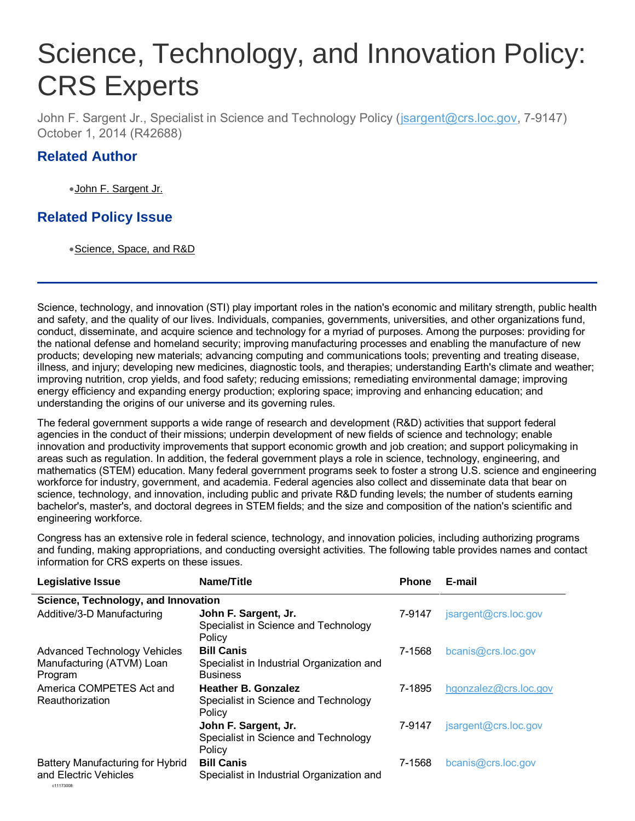# Science, Technology, and Innovation Policy: . CRS Experts

John F. Sargent Jr., Specialist in Science and Technology Policy [\(jsargent@crs.loc.gov,](mailto:jsargent@crs.loc.gov) 7-9147) October 1, 2014 (R42688)

### **Related Author**

[John F. Sargent Jr.](http://www.crs.gov/analysis/staffbiography.aspx?personnumber=101021)

## **Related Policy Issue**

[Science, Space, and R&D](http://www.crs.gov/pages/SubIssue.aspx?CLIID=2693&parentID=19)

Science, technology, and innovation (STI) play important roles in the nation's economic and military strength, public health and safety, and the quality of our lives. Individuals, companies, governments, universities, and other organizations fund, conduct, disseminate, and acquire science and technology for a myriad of purposes. Among the purposes: providing for the national defense and homeland security; improving manufacturing processes and enabling the manufacture of new products; developing new materials; advancing computing and communications tools; preventing and treating disease, illness, and injury; developing new medicines, diagnostic tools, and therapies; understanding Earth's climate and weather; improving nutrition, crop yields, and food safety; reducing emissions; remediating environmental damage; improving energy efficiency and expanding energy production; exploring space; improving and enhancing education; and understanding the origins of our universe and its governing rules.

The federal government supports a wide range of research and development (R&D) activities that support federal agencies in the conduct of their missions; underpin development of new fields of science and technology; enable innovation and productivity improvements that support economic growth and job creation; and support policymaking in areas such as regulation. In addition, the federal government plays a role in science, technology, engineering, and mathematics (STEM) education. Many federal government programs seek to foster a strong U.S. science and engineering workforce for industry, government, and academia. Federal agencies also collect and disseminate data that bear on science, technology, and innovation, including public and private R&D funding levels; the number of students earning bachelor's, master's, and doctoral degrees in STEM fields; and the size and composition of the nation's scientific and engineering workforce.

Congress has an extensive role in federal science, technology, and innovation policies, including authorizing programs and funding, making appropriations, and conducting oversight activities. The following table provides names and contact information for CRS experts on these issues.

| <b>Legislative Issue</b>             | Name/Title                                                   | <b>Phone</b> | E-mail                |
|--------------------------------------|--------------------------------------------------------------|--------------|-----------------------|
| Science, Technology, and Innovation  |                                                              |              |                       |
| Additive/3-D Manufacturing           | John F. Sargent, Jr.                                         | 7-9147       | jsargent@crs.loc.gov  |
|                                      | Specialist in Science and Technology<br>Policy               |              |                       |
| <b>Advanced Technology Vehicles</b>  | <b>Bill Canis</b>                                            | 7-1568       | bcanis@crs.loc.gov    |
| Manufacturing (ATVM) Loan<br>Program | Specialist in Industrial Organization and<br><b>Business</b> |              |                       |
| America COMPETES Act and             | <b>Heather B. Gonzalez</b>                                   | 7-1895       | hgonzalez@crs.loc.gov |
| Reauthorization                      | Specialist in Science and Technology<br>Policy               |              |                       |
|                                      | John F. Sargent, Jr.                                         | 7-9147       | jsargent@crs.loc.gov  |
|                                      | Specialist in Science and Technology<br>Policy               |              |                       |
| Battery Manufacturing for Hybrid     | <b>Bill Canis</b>                                            | 7-1568       | bcanis@crs.loc.gov    |
| and Electric Vehicles<br>c11173008   | Specialist in Industrial Organization and                    |              |                       |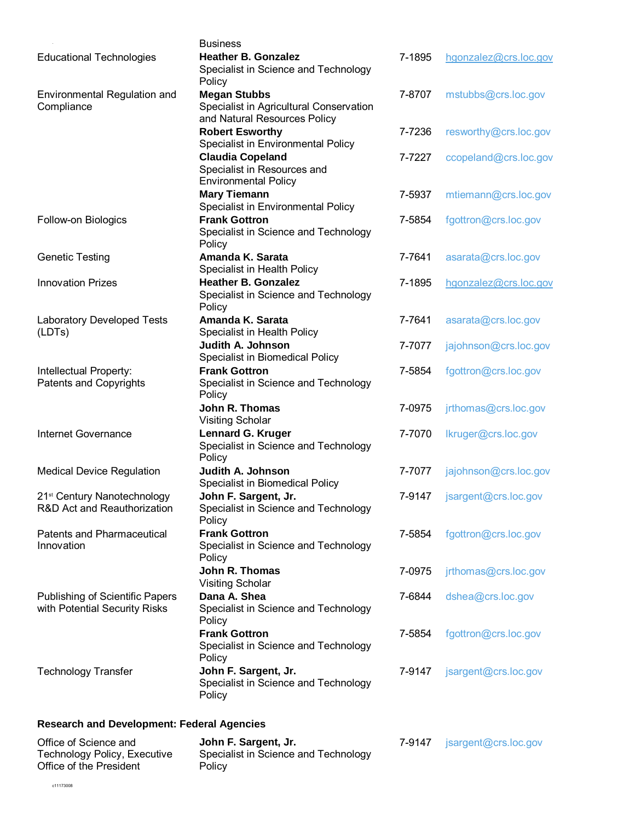|                                                                         | <b>Business</b>                                                                                |        |                       |
|-------------------------------------------------------------------------|------------------------------------------------------------------------------------------------|--------|-----------------------|
| <b>Educational Technologies</b>                                         | <b>Heather B. Gonzalez</b><br>Specialist in Science and Technology<br>Policy                   | 7-1895 | hgonzalez@crs.loc.gov |
| Environmental Regulation and<br>Compliance                              | <b>Megan Stubbs</b><br>Specialist in Agricultural Conservation<br>and Natural Resources Policy | 7-8707 | mstubbs@crs.loc.gov   |
|                                                                         | <b>Robert Esworthy</b><br>Specialist in Environmental Policy                                   | 7-7236 | resworthy@crs.loc.gov |
|                                                                         | <b>Claudia Copeland</b><br>Specialist in Resources and<br><b>Environmental Policy</b>          | 7-7227 | ccopeland@crs.loc.gov |
|                                                                         | <b>Mary Tiemann</b><br>Specialist in Environmental Policy                                      | 7-5937 | mtiemann@crs.loc.gov  |
| Follow-on Biologics                                                     | <b>Frank Gottron</b><br>Specialist in Science and Technology<br>Policy                         | 7-5854 | fgottron@crs.loc.gov  |
| <b>Genetic Testing</b>                                                  | Amanda K. Sarata<br>Specialist in Health Policy                                                | 7-7641 | asarata@crs.loc.gov   |
| <b>Innovation Prizes</b>                                                | <b>Heather B. Gonzalez</b><br>Specialist in Science and Technology<br>Policy                   | 7-1895 | hgonzalez@crs.loc.gov |
| <b>Laboratory Developed Tests</b><br>(LDTs)                             | Amanda K. Sarata<br>Specialist in Health Policy                                                | 7-7641 | asarata@crs.loc.gov   |
|                                                                         | Judith A. Johnson<br>Specialist in Biomedical Policy                                           | 7-7077 | jajohnson@crs.loc.gov |
| Intellectual Property:<br><b>Patents and Copyrights</b>                 | <b>Frank Gottron</b><br>Specialist in Science and Technology<br>Policy                         | 7-5854 | fgottron@crs.loc.gov  |
|                                                                         | John R. Thomas<br><b>Visiting Scholar</b>                                                      | 7-0975 | jrthomas@crs.loc.gov  |
| <b>Internet Governance</b>                                              | <b>Lennard G. Kruger</b><br>Specialist in Science and Technology<br>Policy                     | 7-7070 | Ikruger@crs.loc.gov   |
| <b>Medical Device Regulation</b>                                        | Judith A. Johnson<br>Specialist in Biomedical Policy                                           | 7-7077 | jajohnson@crs.loc.gov |
| 21 <sup>st</sup> Century Nanotechnology<br>R&D Act and Reauthorization  | John F. Sargent, Jr.<br>Specialist in Science and Technology<br>Policy                         | 7-9147 | jsargent@crs.loc.gov  |
| <b>Patents and Pharmaceutical</b><br>Innovation                         | <b>Frank Gottron</b><br>Specialist in Science and Technology<br>Policy                         | 7-5854 | fgottron@crs.loc.gov  |
|                                                                         | John R. Thomas<br><b>Visiting Scholar</b>                                                      | 7-0975 | jrthomas@crs.loc.gov  |
| <b>Publishing of Scientific Papers</b><br>with Potential Security Risks | Dana A. Shea<br>Specialist in Science and Technology<br>Policy                                 | 7-6844 | dshea@crs.loc.gov     |
|                                                                         | <b>Frank Gottron</b><br>Specialist in Science and Technology<br>Policy                         | 7-5854 | fgottron@crs.loc.gov  |
| <b>Technology Transfer</b>                                              | John F. Sargent, Jr.<br>Specialist in Science and Technology<br>Policy                         | 7-9147 | jsargent@crs.loc.gov  |

#### **Research and Development: Federal Agencies**

| Office of Science and        | John F. Sargent, Jr.                 | 7-9147 | $\frac{1}{2}$ isargent@crs.loc.gov |
|------------------------------|--------------------------------------|--------|------------------------------------|
| Technology Policy, Executive | Specialist in Science and Technology |        |                                    |
| Office of the President      | Policy                               |        |                                    |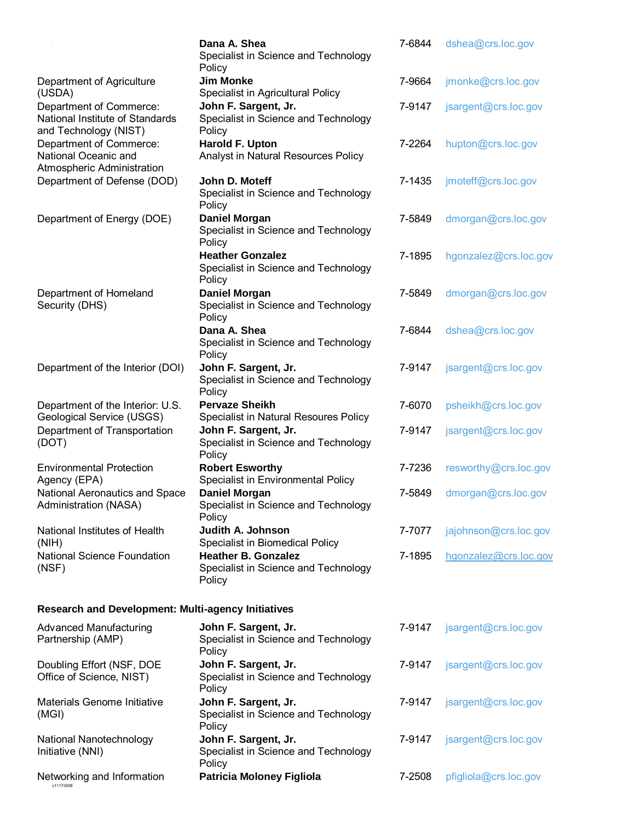|                                                                                     | Dana A. Shea<br>Specialist in Science and Technology<br>Policy               | 7-6844 | dshea@crs.loc.gov     |  |
|-------------------------------------------------------------------------------------|------------------------------------------------------------------------------|--------|-----------------------|--|
| Department of Agriculture<br>(USDA)                                                 | <b>Jim Monke</b><br>Specialist in Agricultural Policy                        | 7-9664 | jmonke@crs.loc.gov    |  |
| Department of Commerce:<br>National Institute of Standards<br>and Technology (NIST) | John F. Sargent, Jr.<br>Specialist in Science and Technology<br>Policy       | 7-9147 | jsargent@crs.loc.gov  |  |
| Department of Commerce:<br>National Oceanic and<br>Atmospheric Administration       | Harold F. Upton<br>Analyst in Natural Resources Policy                       | 7-2264 | hupton@crs.loc.gov    |  |
| Department of Defense (DOD)                                                         | John D. Moteff<br>Specialist in Science and Technology<br>Policy             | 7-1435 | jmoteff@crs.loc.gov   |  |
| Department of Energy (DOE)                                                          | <b>Daniel Morgan</b><br>Specialist in Science and Technology<br>Policy       | 7-5849 | dmorgan@crs.loc.gov   |  |
|                                                                                     | <b>Heather Gonzalez</b><br>Specialist in Science and Technology<br>Policy    | 7-1895 | hgonzalez@crs.loc.gov |  |
| Department of Homeland<br>Security (DHS)                                            | <b>Daniel Morgan</b><br>Specialist in Science and Technology<br>Policy       | 7-5849 | dmorgan@crs.loc.gov   |  |
|                                                                                     | Dana A. Shea<br>Specialist in Science and Technology<br>Policy               | 7-6844 | dshea@crs.loc.gov     |  |
| Department of the Interior (DOI)                                                    | John F. Sargent, Jr.<br>Specialist in Science and Technology<br>Policy       | 7-9147 | jsargent@crs.loc.gov  |  |
| Department of the Interior: U.S.<br>Geological Service (USGS)                       | <b>Pervaze Sheikh</b><br>Specialist in Natural Resoures Policy               | 7-6070 | psheikh@crs.loc.gov   |  |
| Department of Transportation<br>(DOT)                                               | John F. Sargent, Jr.<br>Specialist in Science and Technology<br>Policy       | 7-9147 | jsargent@crs.loc.gov  |  |
| <b>Environmental Protection</b><br>Agency (EPA)                                     | <b>Robert Esworthy</b><br>Specialist in Environmental Policy                 | 7-7236 | resworthy@crs.loc.gov |  |
| National Aeronautics and Space<br>Administration (NASA)                             | <b>Daniel Morgan</b><br>Specialist in Science and Technology<br>Policy       | 7-5849 | dmorgan@crs.loc.gov   |  |
| National Institutes of Health<br>(NIH)                                              | Judith A. Johnson<br>Specialist in Biomedical Policy                         | 7-7077 | jajohnson@crs.loc.gov |  |
| <b>National Science Foundation</b><br>(NSF)                                         | <b>Heather B. Gonzalez</b><br>Specialist in Science and Technology<br>Policy | 7-1895 | hgonzalez@crs.loc.gov |  |
| <b>Research and Development: Multi-agency Initiatives</b>                           |                                                                              |        |                       |  |
| <b>Advanced Manufacturing</b><br>Partnership (AMP)                                  | John F. Sargent, Jr.<br>Specialist in Science and Technology<br>Policy       | 7-9147 | jsargent@crs.loc.gov  |  |
| Doubling Effort (NSF, DOE<br>Office of Science, NIST)                               | John F. Sargent, Jr.<br>Specialist in Science and Technology<br>Policy       | 7-9147 | jsargent@crs.loc.gov  |  |
| Materials Genome Initiative<br>(MGI)                                                | John F. Sargent, Jr.<br>Specialist in Science and Technology<br>Policy       | 7-9147 | jsargent@crs.loc.gov  |  |
| National Nanotechnology<br>Initiative (NNI)                                         | John F. Sargent, Jr.<br>Specialist in Science and Technology<br>Policy       | 7-9147 | jsargent@crs.loc.gov  |  |
| Networking and Information<br>c11173008                                             | <b>Patricia Moloney Figliola</b>                                             | 7-2508 | pfigliola@crs.loc.gov |  |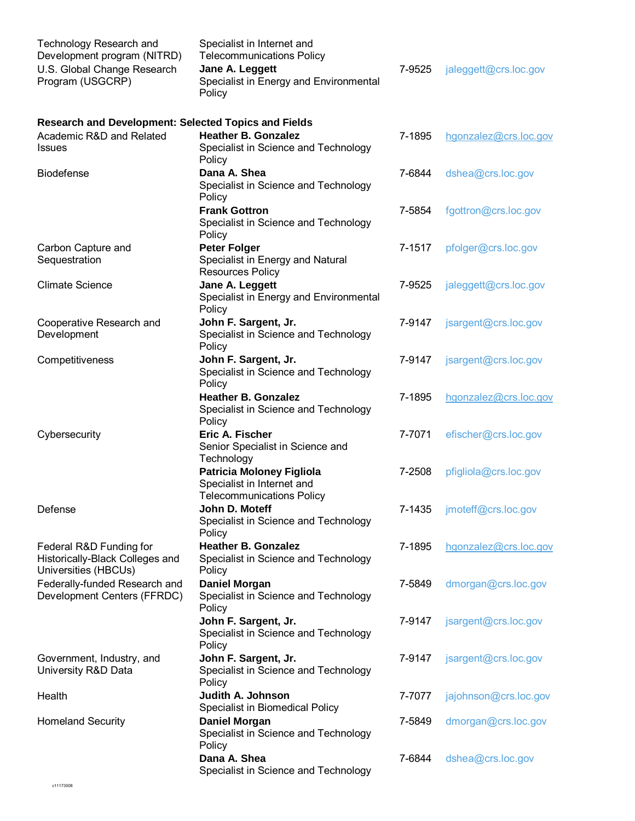| <b>Technology Research and</b><br>Development program (NITRD)<br>U.S. Global Change Research<br>Program (USGCRP) | Specialist in Internet and<br><b>Telecommunications Policy</b><br>Jane A. Leggett<br>Specialist in Energy and Environmental<br>Policy | 7-9525 | jaleggett@crs.loc.gov |
|------------------------------------------------------------------------------------------------------------------|---------------------------------------------------------------------------------------------------------------------------------------|--------|-----------------------|
| <b>Research and Development: Selected Topics and Fields</b><br>Academic R&D and Related<br><b>Issues</b>         | <b>Heather B. Gonzalez</b><br>Specialist in Science and Technology<br>Policy                                                          | 7-1895 | hgonzalez@crs.loc.gov |
| <b>Biodefense</b>                                                                                                | Dana A. Shea<br>Specialist in Science and Technology<br>Policy                                                                        | 7-6844 | dshea@crs.loc.gov     |
|                                                                                                                  | <b>Frank Gottron</b><br>Specialist in Science and Technology<br>Policy                                                                | 7-5854 | fgottron@crs.loc.gov  |
| Carbon Capture and<br>Sequestration                                                                              | <b>Peter Folger</b><br>Specialist in Energy and Natural<br><b>Resources Policy</b>                                                    | 7-1517 | pfolger@crs.loc.gov   |
| <b>Climate Science</b>                                                                                           | Jane A. Leggett<br>Specialist in Energy and Environmental<br>Policy                                                                   | 7-9525 | jaleggett@crs.loc.gov |
| Cooperative Research and<br>Development                                                                          | John F. Sargent, Jr.<br>Specialist in Science and Technology<br>Policy                                                                | 7-9147 | jsargent@crs.loc.gov  |
| Competitiveness                                                                                                  | John F. Sargent, Jr.<br>Specialist in Science and Technology<br>Policy                                                                | 7-9147 | jsargent@crs.loc.gov  |
|                                                                                                                  | <b>Heather B. Gonzalez</b><br>Specialist in Science and Technology<br>Policy                                                          | 7-1895 | hgonzalez@crs.loc.gov |
| Cybersecurity                                                                                                    | Eric A. Fischer<br>Senior Specialist in Science and<br>Technology                                                                     | 7-7071 | efischer@crs.loc.gov  |
|                                                                                                                  | <b>Patricia Moloney Figliola</b><br>Specialist in Internet and<br><b>Telecommunications Policy</b>                                    | 7-2508 | pfigliola@crs.loc.gov |
| Defense                                                                                                          | John D. Moteff<br>Specialist in Science and Technology<br>Policy                                                                      | 7-1435 | jmoteff@crs.loc.gov   |
| Federal R&D Funding for<br>Historically-Black Colleges and<br>Universities (HBCUs)                               | <b>Heather B. Gonzalez</b><br>Specialist in Science and Technology<br>Policy                                                          | 7-1895 | hgonzalez@crs.loc.gov |
| Federally-funded Research and<br>Development Centers (FFRDC)                                                     | <b>Daniel Morgan</b><br>Specialist in Science and Technology<br>Policy                                                                | 7-5849 | dmorgan@crs.loc.gov   |
|                                                                                                                  | John F. Sargent, Jr.<br>Specialist in Science and Technology<br>Policy                                                                | 7-9147 | jsargent@crs.loc.gov  |
| Government, Industry, and<br>University R&D Data                                                                 | John F. Sargent, Jr.<br>Specialist in Science and Technology<br>Policy                                                                | 7-9147 | jsargent@crs.loc.gov  |
| Health                                                                                                           | Judith A. Johnson<br>Specialist in Biomedical Policy                                                                                  | 7-7077 | jajohnson@crs.loc.gov |
| <b>Homeland Security</b>                                                                                         | <b>Daniel Morgan</b><br>Specialist in Science and Technology<br>Policy                                                                | 7-5849 | dmorgan@crs.loc.gov   |
|                                                                                                                  | Dana A. Shea<br>Specialist in Science and Technology                                                                                  | 7-6844 | dshea@crs.loc.gov     |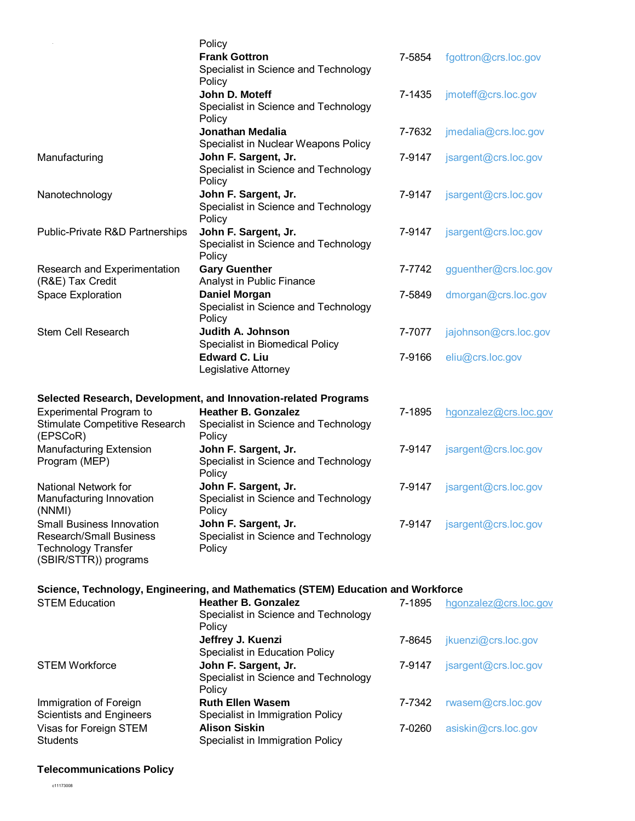|                                                                                                                    | Policy<br><b>Frank Gottron</b><br>Specialist in Science and Technology           | 7-5854 | fgottron@crs.loc.gov  |
|--------------------------------------------------------------------------------------------------------------------|----------------------------------------------------------------------------------|--------|-----------------------|
|                                                                                                                    | Policy<br>John D. Moteff<br>Specialist in Science and Technology<br>Policy       | 7-1435 | jmoteff@crs.loc.gov   |
|                                                                                                                    | <b>Jonathan Medalia</b><br>Specialist in Nuclear Weapons Policy                  | 7-7632 | jmedalia@crs.loc.gov  |
| Manufacturing                                                                                                      | John F. Sargent, Jr.<br>Specialist in Science and Technology<br>Policy           | 7-9147 | jsargent@crs.loc.gov  |
| Nanotechnology                                                                                                     | John F. Sargent, Jr.<br>Specialist in Science and Technology<br>Policy           | 7-9147 | jsargent@crs.loc.gov  |
| Public-Private R&D Partnerships                                                                                    | John F. Sargent, Jr.<br>Specialist in Science and Technology<br>Policy           | 7-9147 | jsargent@crs.loc.gov  |
| Research and Experimentation<br>(R&E) Tax Credit                                                                   | <b>Gary Guenther</b><br>Analyst in Public Finance                                | 7-7742 | gguenther@crs.loc.gov |
| Space Exploration                                                                                                  | <b>Daniel Morgan</b><br>Specialist in Science and Technology<br>Policy           | 7-5849 | dmorgan@crs.loc.gov   |
| <b>Stem Cell Research</b>                                                                                          | <b>Judith A. Johnson</b><br>Specialist in Biomedical Policy                      | 7-7077 | jajohnson@crs.loc.gov |
|                                                                                                                    | <b>Edward C. Liu</b><br>Legislative Attorney                                     | 7-9166 | eliu@crs.loc.gov      |
|                                                                                                                    | Selected Research, Development, and Innovation-related Programs                  |        |                       |
| <b>Experimental Program to</b><br>Stimulate Competitive Research<br>(EPSCoR)                                       | <b>Heather B. Gonzalez</b><br>Specialist in Science and Technology<br>Policy     | 7-1895 | hgonzalez@crs.loc.gov |
| Manufacturing Extension<br>Program (MEP)                                                                           | John F. Sargent, Jr.<br>Specialist in Science and Technology<br>Policy           | 7-9147 | jsargent@crs.loc.gov  |
| National Network for<br>Manufacturing Innovation<br>(NNMI)                                                         | John F. Sargent, Jr.<br>Specialist in Science and Technology<br>Policy           | 7-9147 | jsargent@crs.loc.gov  |
| Small Business Innovation<br><b>Research/Small Business</b><br><b>Technology Transfer</b><br>(SBIR/STTR)) programs | John F. Sargent, Jr.<br>Specialist in Science and Technology<br>Policy           | 7-9147 | jsargent@crs.loc.gov  |
|                                                                                                                    | Science, Technology, Engineering, and Mathematics (STEM) Education and Workforce |        |                       |
| <b>STEM Education</b>                                                                                              | <b>Heather B. Gonzalez</b><br>Specialist in Science and Technology<br>Policy     | 7-1895 | hgonzalez@crs.loc.gov |
|                                                                                                                    | Jeffrey J. Kuenzi<br>Specialist in Education Policy                              | 7-8645 | jkuenzi@crs.loc.gov   |
| <b>STEM Workforce</b>                                                                                              | John F. Sargent, Jr.<br>Specialist in Science and Technology<br>Policy           | 7-9147 | jsargent@crs.loc.gov  |
| Immigration of Foreign                                                                                             | <b>Ruth Ellen Wasem</b>                                                          | 7-7342 | rwasem@crs.loc.gov    |

Specialist in Immigration Policy

Specialist in Immigration Policy

7-0260 [asiskin@crs.loc.gov](mailto:asiskin@crs.loc.gov)

**Alison Siskin**

Immigration of Foreign Scientists and Engineers Visas for Foreign STEM **Students** 

#### **Telecommunications Policy**

c11173008